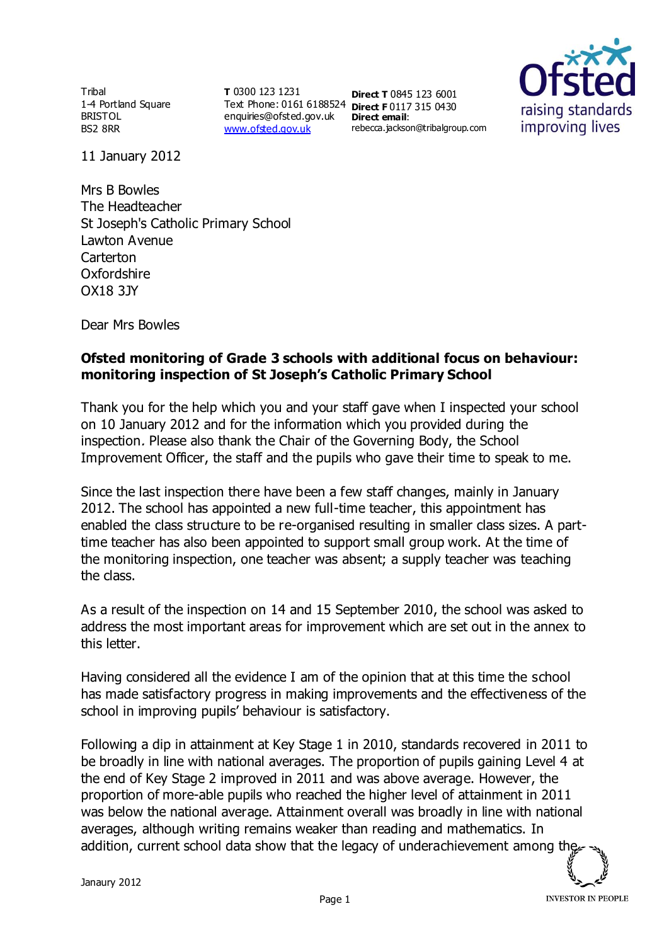**Tribal** 1-4 Portland Square BRISTOL BS2 8RR

**T** 0300 123 1231 Text Phone: 0161 6188524 **Direct F** 0117 315 0430 enquiries@ofsted.gov.uk **Direct email**: [www.ofsted.gov.uk](http://www.ofsted.gov.uk/)

**Direct T** 0845 123 6001 rebecca.jackson@tribalgroup.com



11 January 2012

Mrs B Bowles The Headteacher St Joseph's Catholic Primary School Lawton Avenue **Carterton** Oxfordshire OX18 3JY

Dear Mrs Bowles

## **Ofsted monitoring of Grade 3 schools with additional focus on behaviour: monitoring inspection of St Joseph's Catholic Primary School**

Thank you for the help which you and your staff gave when I inspected your school on 10 January 2012 and for the information which you provided during the inspection. Please also thank the Chair of the Governing Body, the School Improvement Officer, the staff and the pupils who gave their time to speak to me.

Since the last inspection there have been a few staff changes, mainly in January 2012. The school has appointed a new full-time teacher, this appointment has enabled the class structure to be re-organised resulting in smaller class sizes. A parttime teacher has also been appointed to support small group work. At the time of the monitoring inspection, one teacher was absent; a supply teacher was teaching the class.

As a result of the inspection on 14 and 15 September 2010, the school was asked to address the most important areas for improvement which are set out in the annex to this letter.

Having considered all the evidence I am of the opinion that at this time the school has made satisfactory progress in making improvements and the effectiveness of the school in improving pupils' behaviour is satisfactory.

Following a dip in attainment at Key Stage 1 in 2010, standards recovered in 2011 to be broadly in line with national averages. The proportion of pupils gaining Level 4 at the end of Key Stage 2 improved in 2011 and was above average. However, the proportion of more-able pupils who reached the higher level of attainment in 2011 was below the national average. Attainment overall was broadly in line with national averages, although writing remains weaker than reading and mathematics. In addition, current school data show that the legacy of underachievement among the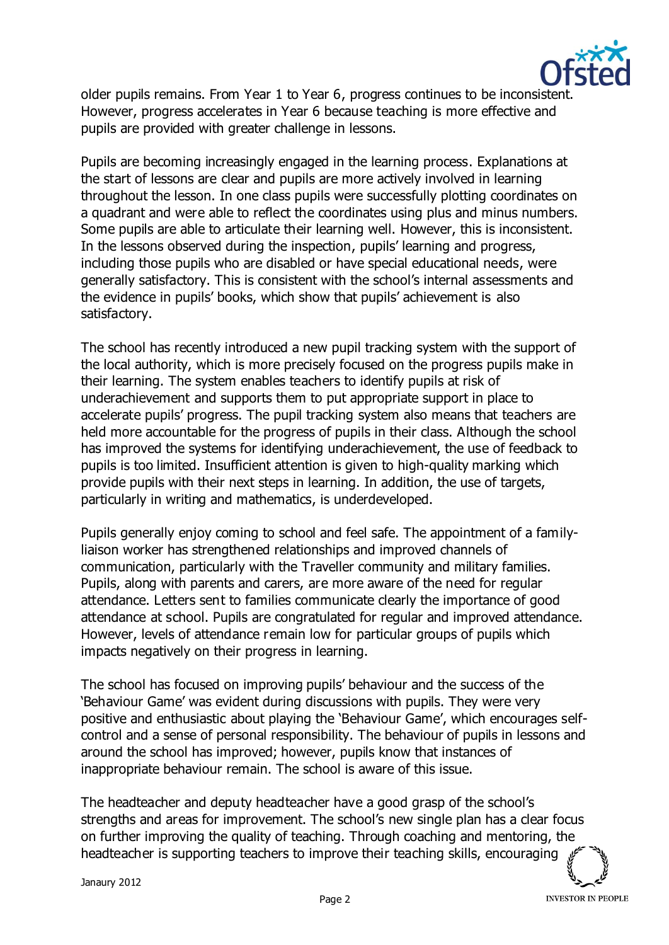

older pupils remains. From Year 1 to Year 6, progress continues to be inconsistent. However, progress accelerates in Year 6 because teaching is more effective and pupils are provided with greater challenge in lessons.

Pupils are becoming increasingly engaged in the learning process. Explanations at the start of lessons are clear and pupils are more actively involved in learning throughout the lesson. In one class pupils were successfully plotting coordinates on a quadrant and were able to reflect the coordinates using plus and minus numbers. Some pupils are able to articulate their learning well. However, this is inconsistent. In the lessons observed during the inspection, pupils' learning and progress, including those pupils who are disabled or have special educational needs, were generally satisfactory. This is consistent with the school's internal assessments and the evidence in pupils' books, which show that pupils' achievement is also satisfactory.

The school has recently introduced a new pupil tracking system with the support of the local authority, which is more precisely focused on the progress pupils make in their learning. The system enables teachers to identify pupils at risk of underachievement and supports them to put appropriate support in place to accelerate pupils' progress. The pupil tracking system also means that teachers are held more accountable for the progress of pupils in their class. Although the school has improved the systems for identifying underachievement, the use of feedback to pupils is too limited. Insufficient attention is given to high-quality marking which provide pupils with their next steps in learning. In addition, the use of targets, particularly in writing and mathematics, is underdeveloped.

Pupils generally enjoy coming to school and feel safe. The appointment of a familyliaison worker has strengthened relationships and improved channels of communication, particularly with the Traveller community and military families. Pupils, along with parents and carers, are more aware of the need for regular attendance. Letters sent to families communicate clearly the importance of good attendance at school. Pupils are congratulated for regular and improved attendance. However, levels of attendance remain low for particular groups of pupils which impacts negatively on their progress in learning.

The school has focused on improving pupils' behaviour and the success of the 'Behaviour Game' was evident during discussions with pupils. They were very positive and enthusiastic about playing the 'Behaviour Game', which encourages selfcontrol and a sense of personal responsibility. The behaviour of pupils in lessons and around the school has improved; however, pupils know that instances of inappropriate behaviour remain. The school is aware of this issue.

The headteacher and deputy headteacher have a good grasp of the school's strengths and areas for improvement. The school's new single plan has a clear focus on further improving the quality of teaching. Through coaching and mentoring, the headteacher is supporting teachers to improve their teaching skills, encouraging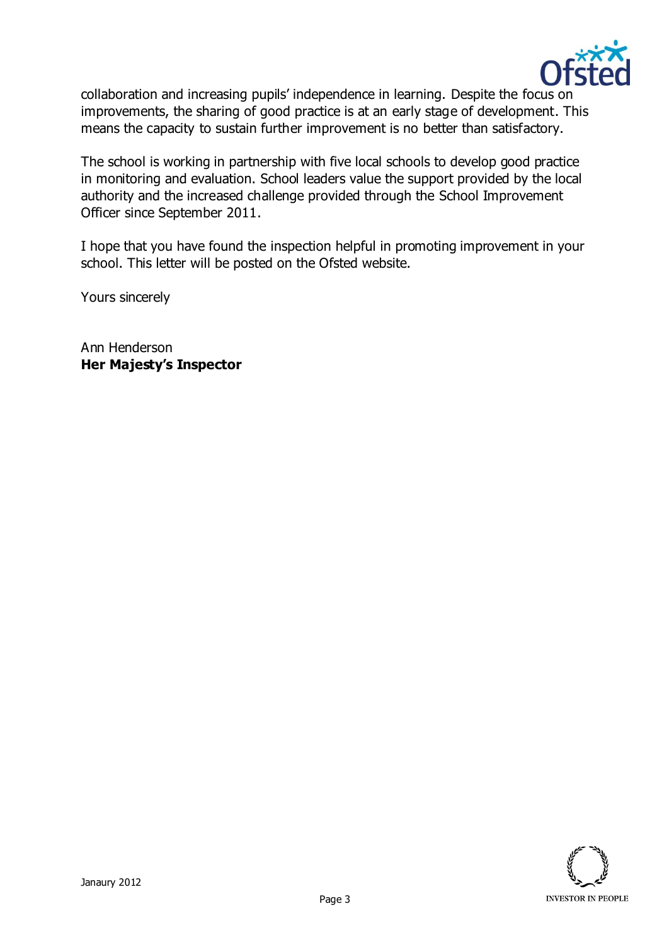

collaboration and increasing pupils' independence in learning. Despite the focus on improvements, the sharing of good practice is at an early stage of development. This means the capacity to sustain further improvement is no better than satisfactory.

The school is working in partnership with five local schools to develop good practice in monitoring and evaluation. School leaders value the support provided by the local authority and the increased challenge provided through the School Improvement Officer since September 2011.

I hope that you have found the inspection helpful in promoting improvement in your school. This letter will be posted on the Ofsted website.

Yours sincerely

Ann Henderson **Her Majesty's Inspector**